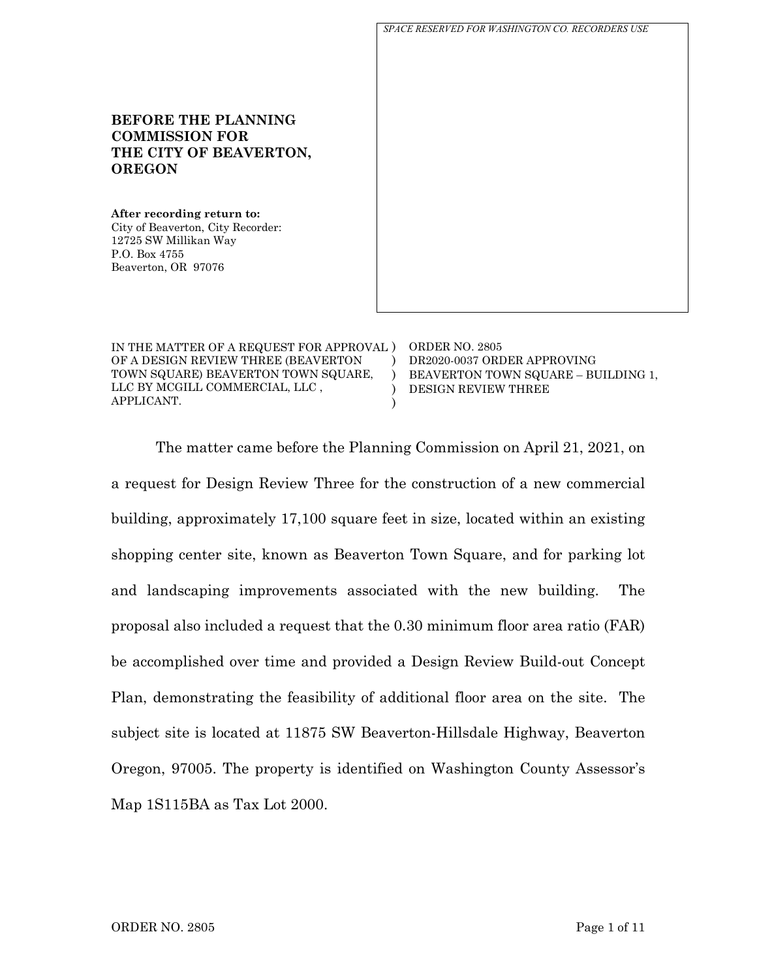**BEFORE THE PLANNING COMMISSION FOR THE CITY OF BEAVERTON, OREGON After recording return to:** City of Beaverton, City Recorder: 12725 SW Millikan Way P.O. Box 4755 Beaverton, OR 97076 *SPACE RESERVED FOR WASHINGTON CO. RECORDERS USE*

IN THE MATTER OF A REQUEST FOR APPROVAL ) ORDER NO. 2805 OF A DESIGN REVIEW THREE (BEAVERTON TOWN SQUARE) BEAVERTON TOWN SQUARE, LLC BY MCGILL COMMERCIAL, LLC , APPLICANT.  $\lambda$ )  $\lambda$ ) DR2020-0037 ORDER APPROVING BEAVERTON TOWN SQUARE – BUILDING 1, DESIGN REVIEW THREE

The matter came before the Planning Commission on April 21, 2021, on a request for Design Review Three for the construction of a new commercial building, approximately 17,100 square feet in size, located within an existing shopping center site, known as Beaverton Town Square, and for parking lot and landscaping improvements associated with the new building. The proposal also included a request that the 0.30 minimum floor area ratio (FAR) be accomplished over time and provided a Design Review Build-out Concept Plan, demonstrating the feasibility of additional floor area on the site. The subject site is located at 11875 SW Beaverton-Hillsdale Highway, Beaverton Oregon, 97005. The property is identified on Washington County Assessor's Map 1S115BA as Tax Lot 2000.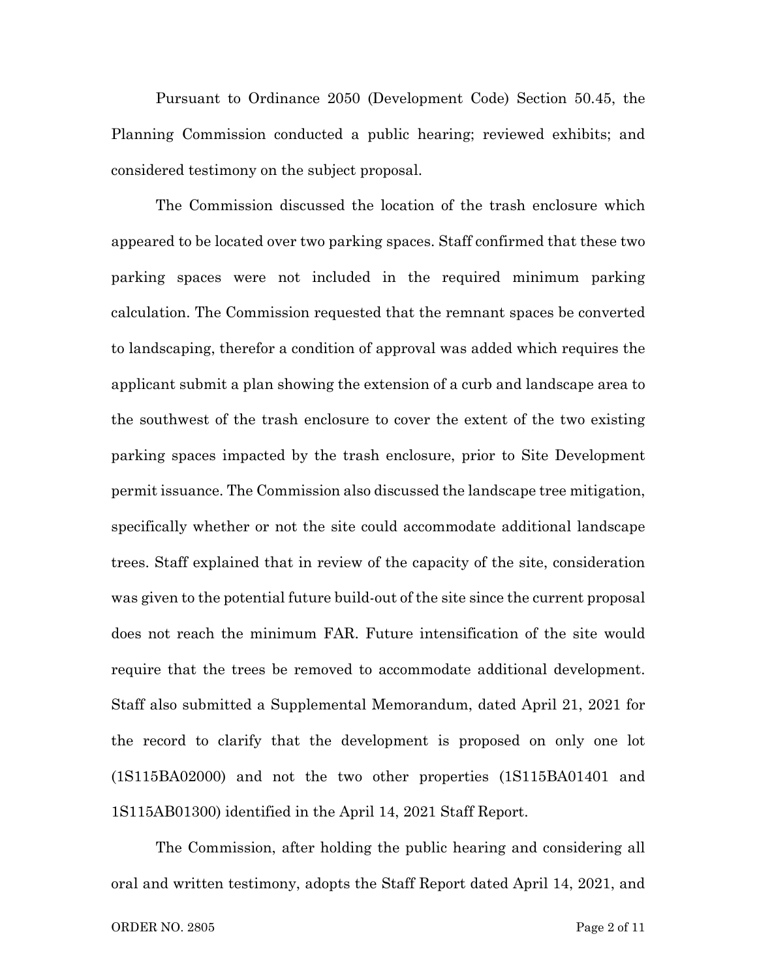Pursuant to Ordinance 2050 (Development Code) Section 50.45, the Planning Commission conducted a public hearing; reviewed exhibits; and considered testimony on the subject proposal.

The Commission discussed the location of the trash enclosure which appeared to be located over two parking spaces. Staff confirmed that these two parking spaces were not included in the required minimum parking calculation. The Commission requested that the remnant spaces be converted to landscaping, therefor a condition of approval was added which requires the applicant submit a plan showing the extension of a curb and landscape area to the southwest of the trash enclosure to cover the extent of the two existing parking spaces impacted by the trash enclosure, prior to Site Development permit issuance. The Commission also discussed the landscape tree mitigation, specifically whether or not the site could accommodate additional landscape trees. Staff explained that in review of the capacity of the site, consideration was given to the potential future build-out of the site since the current proposal does not reach the minimum FAR. Future intensification of the site would require that the trees be removed to accommodate additional development. Staff also submitted a Supplemental Memorandum, dated April 21, 2021 for the record to clarify that the development is proposed on only one lot (1S115BA02000) and not the two other properties (1S115BA01401 and 1S115AB01300) identified in the April 14, 2021 Staff Report.

The Commission, after holding the public hearing and considering all oral and written testimony, adopts the Staff Report dated April 14, 2021, and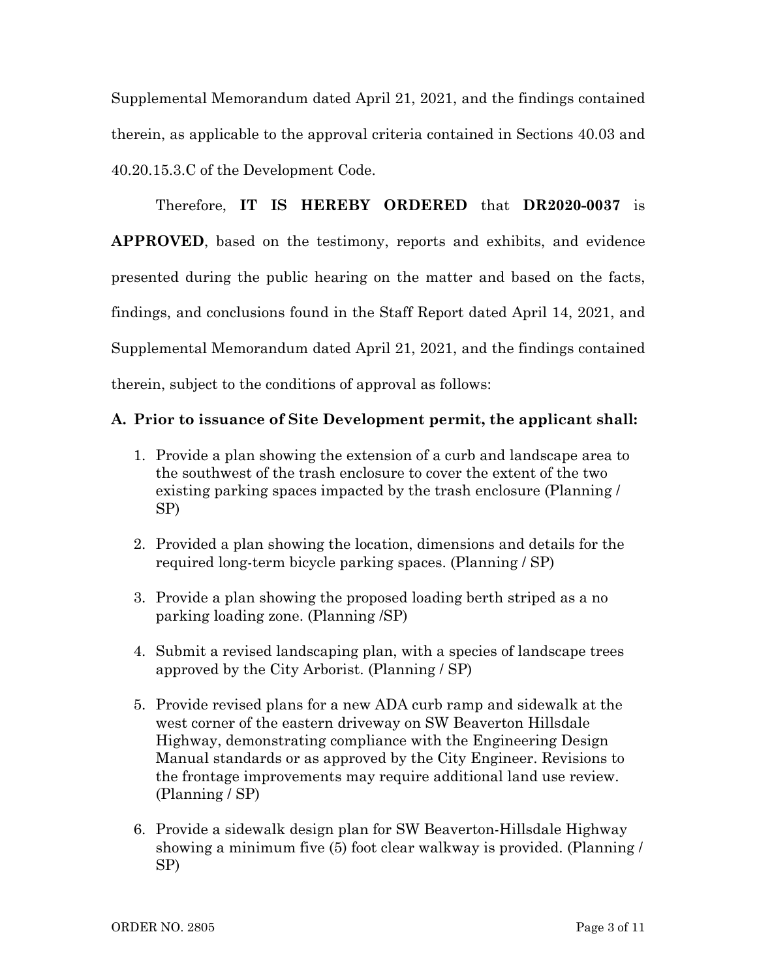Supplemental Memorandum dated April 21, 2021, and the findings contained therein, as applicable to the approval criteria contained in Sections 40.03 and 40.20.15.3.C of the Development Code.

Therefore, **IT IS HEREBY ORDERED** that **DR2020-0037** is **APPROVED**, based on the testimony, reports and exhibits, and evidence presented during the public hearing on the matter and based on the facts, findings, and conclusions found in the Staff Report dated April 14, 2021, and Supplemental Memorandum dated April 21, 2021, and the findings contained therein, subject to the conditions of approval as follows:

#### **A. Prior to issuance of Site Development permit, the applicant shall:**

- 1. Provide a plan showing the extension of a curb and landscape area to the southwest of the trash enclosure to cover the extent of the two existing parking spaces impacted by the trash enclosure (Planning / SP)
- 2. Provided a plan showing the location, dimensions and details for the required long-term bicycle parking spaces. (Planning / SP)
- 3. Provide a plan showing the proposed loading berth striped as a no parking loading zone. (Planning /SP)
- 4. Submit a revised landscaping plan, with a species of landscape trees approved by the City Arborist. (Planning / SP)
- 5. Provide revised plans for a new ADA curb ramp and sidewalk at the west corner of the eastern driveway on SW Beaverton Hillsdale Highway, demonstrating compliance with the Engineering Design Manual standards or as approved by the City Engineer. Revisions to the frontage improvements may require additional land use review. (Planning / SP)
- 6. Provide a sidewalk design plan for SW Beaverton-Hillsdale Highway showing a minimum five (5) foot clear walkway is provided. (Planning / SP)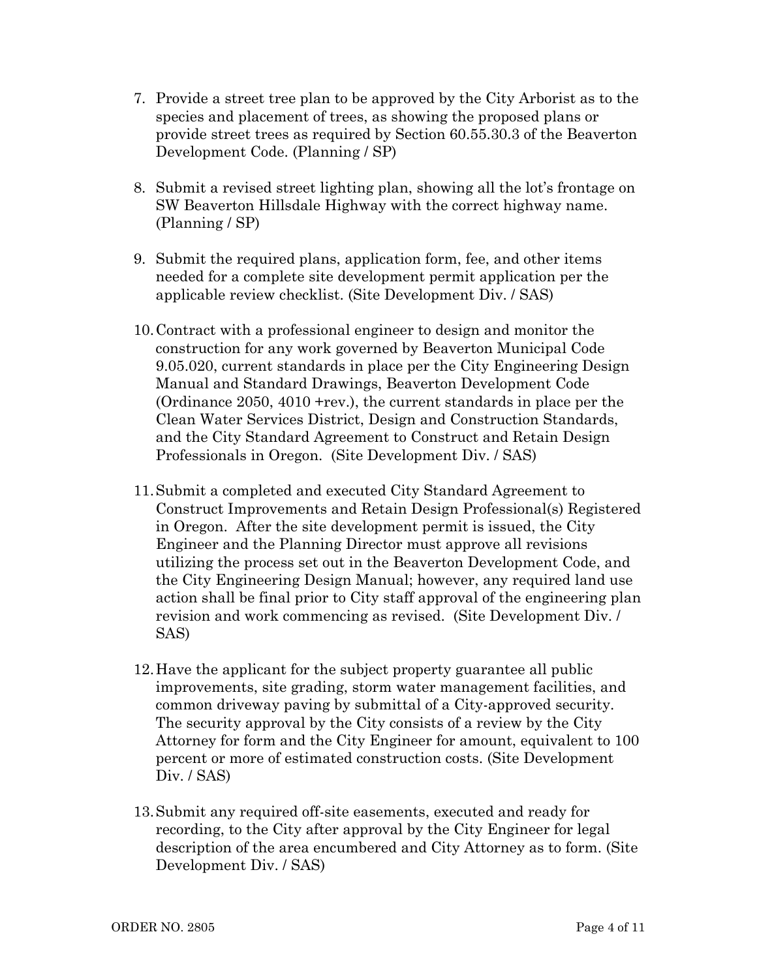- 7. Provide a street tree plan to be approved by the City Arborist as to the species and placement of trees, as showing the proposed plans or provide street trees as required by Section 60.55.30.3 of the Beaverton Development Code. (Planning / SP)
- 8. Submit a revised street lighting plan, showing all the lot's frontage on SW Beaverton Hillsdale Highway with the correct highway name. (Planning / SP)
- 9. Submit the required plans, application form, fee, and other items needed for a complete site development permit application per the applicable review checklist. (Site Development Div. / SAS)
- 10.Contract with a professional engineer to design and monitor the construction for any work governed by Beaverton Municipal Code 9.05.020, current standards in place per the City Engineering Design Manual and Standard Drawings, Beaverton Development Code (Ordinance 2050, 4010 +rev.), the current standards in place per the Clean Water Services District, Design and Construction Standards, and the City Standard Agreement to Construct and Retain Design Professionals in Oregon. (Site Development Div. / SAS)
- 11.Submit a completed and executed City Standard Agreement to Construct Improvements and Retain Design Professional(s) Registered in Oregon. After the site development permit is issued, the City Engineer and the Planning Director must approve all revisions utilizing the process set out in the Beaverton Development Code, and the City Engineering Design Manual; however, any required land use action shall be final prior to City staff approval of the engineering plan revision and work commencing as revised. (Site Development Div. / SAS)
- 12.Have the applicant for the subject property guarantee all public improvements, site grading, storm water management facilities, and common driveway paving by submittal of a City-approved security. The security approval by the City consists of a review by the City Attorney for form and the City Engineer for amount, equivalent to 100 percent or more of estimated construction costs. (Site Development Div. / SAS)
- 13.Submit any required off-site easements, executed and ready for recording, to the City after approval by the City Engineer for legal description of the area encumbered and City Attorney as to form. (Site Development Div. / SAS)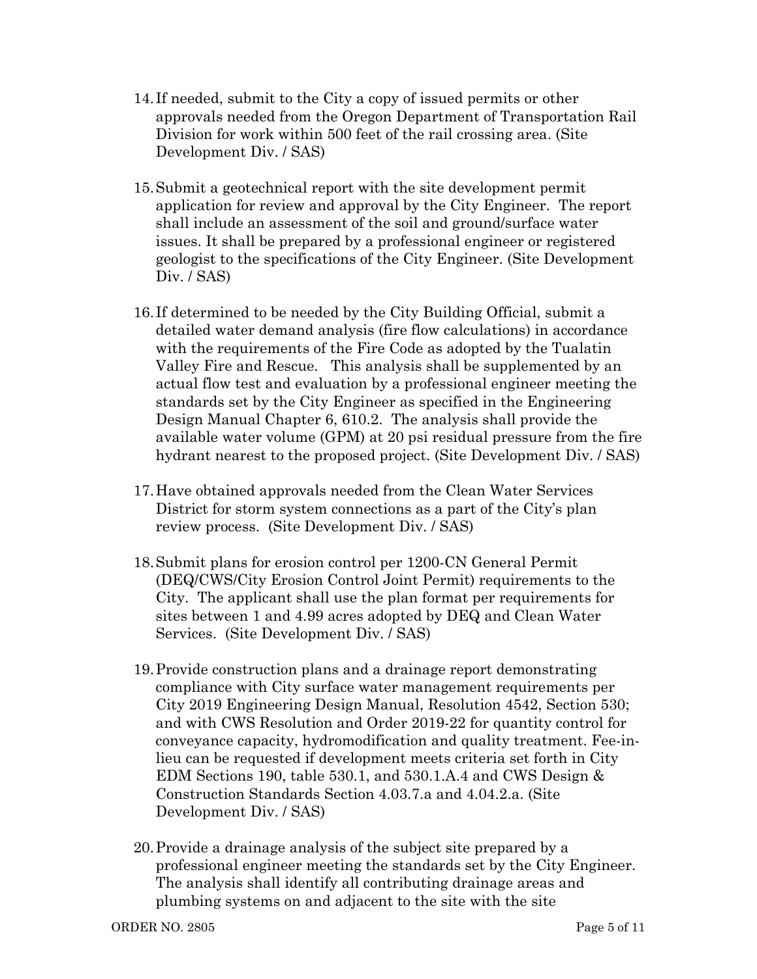- 14. If needed, submit to the City a copy of issued permits or other approvals needed from the Oregon Department of Transportation Rail Division for work within 500 feet of the rail crossing area. (Site Development Div. / SAS)
- 15.Submit a geotechnical report with the site development permit application for review and approval by the City Engineer. The report shall include an assessment of the soil and ground/surface water issues. It shall be prepared by a professional engineer or registered geologist to the specifications of the City Engineer. (Site Development Div. / SAS)
- 16. If determined to be needed by the City Building Official, submit a detailed water demand analysis (fire flow calculations) in accordance with the requirements of the Fire Code as adopted by the Tualatin Valley Fire and Rescue. This analysis shall be supplemented by an actual flow test and evaluation by a professional engineer meeting the standards set by the City Engineer as specified in the Engineering Design Manual Chapter 6, 610.2. The analysis shall provide the available water volume (GPM) at 20 psi residual pressure from the fire hydrant nearest to the proposed project. (Site Development Div. / SAS)
- 17.Have obtained approvals needed from the Clean Water Services District for storm system connections as a part of the City's plan review process. (Site Development Div. / SAS)
- 18.Submit plans for erosion control per 1200-CN General Permit (DEQ/CWS/City Erosion Control Joint Permit) requirements to the City. The applicant shall use the plan format per requirements for sites between 1 and 4.99 acres adopted by DEQ and Clean Water Services. (Site Development Div. / SAS)
- 19.Provide construction plans and a drainage report demonstrating compliance with City surface water management requirements per City 2019 Engineering Design Manual, Resolution 4542, Section 530; and with CWS Resolution and Order 2019-22 for quantity control for conveyance capacity, hydromodification and quality treatment. Fee-inlieu can be requested if development meets criteria set forth in City EDM Sections 190, table 530.1, and 530.1.A.4 and CWS Design & Construction Standards Section 4.03.7.a and 4.04.2.a. (Site Development Div. / SAS)
- 20.Provide a drainage analysis of the subject site prepared by a professional engineer meeting the standards set by the City Engineer. The analysis shall identify all contributing drainage areas and plumbing systems on and adjacent to the site with the site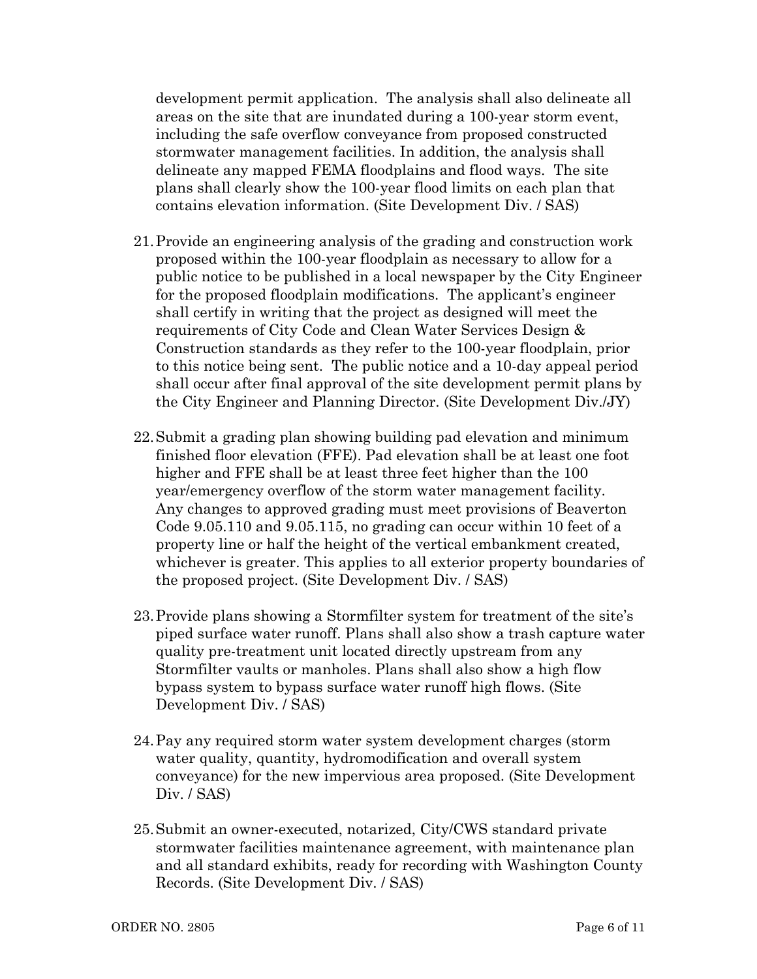development permit application. The analysis shall also delineate all areas on the site that are inundated during a 100-year storm event, including the safe overflow conveyance from proposed constructed stormwater management facilities. In addition, the analysis shall delineate any mapped FEMA floodplains and flood ways. The site plans shall clearly show the 100-year flood limits on each plan that contains elevation information. (Site Development Div. / SAS)

- 21.Provide an engineering analysis of the grading and construction work proposed within the 100-year floodplain as necessary to allow for a public notice to be published in a local newspaper by the City Engineer for the proposed floodplain modifications. The applicant's engineer shall certify in writing that the project as designed will meet the requirements of City Code and Clean Water Services Design & Construction standards as they refer to the 100-year floodplain, prior to this notice being sent. The public notice and a 10-day appeal period shall occur after final approval of the site development permit plans by the City Engineer and Planning Director. (Site Development Div./JY)
- 22.Submit a grading plan showing building pad elevation and minimum finished floor elevation (FFE). Pad elevation shall be at least one foot higher and FFE shall be at least three feet higher than the 100 year/emergency overflow of the storm water management facility. Any changes to approved grading must meet provisions of Beaverton Code 9.05.110 and 9.05.115, no grading can occur within 10 feet of a property line or half the height of the vertical embankment created, whichever is greater. This applies to all exterior property boundaries of the proposed project. (Site Development Div. / SAS)
- 23.Provide plans showing a Stormfilter system for treatment of the site's piped surface water runoff. Plans shall also show a trash capture water quality pre-treatment unit located directly upstream from any Stormfilter vaults or manholes. Plans shall also show a high flow bypass system to bypass surface water runoff high flows. (Site Development Div. / SAS)
- 24.Pay any required storm water system development charges (storm water quality, quantity, hydromodification and overall system conveyance) for the new impervious area proposed. (Site Development Div. / SAS)
- 25.Submit an owner-executed, notarized, City/CWS standard private stormwater facilities maintenance agreement, with maintenance plan and all standard exhibits, ready for recording with Washington County Records. (Site Development Div. / SAS)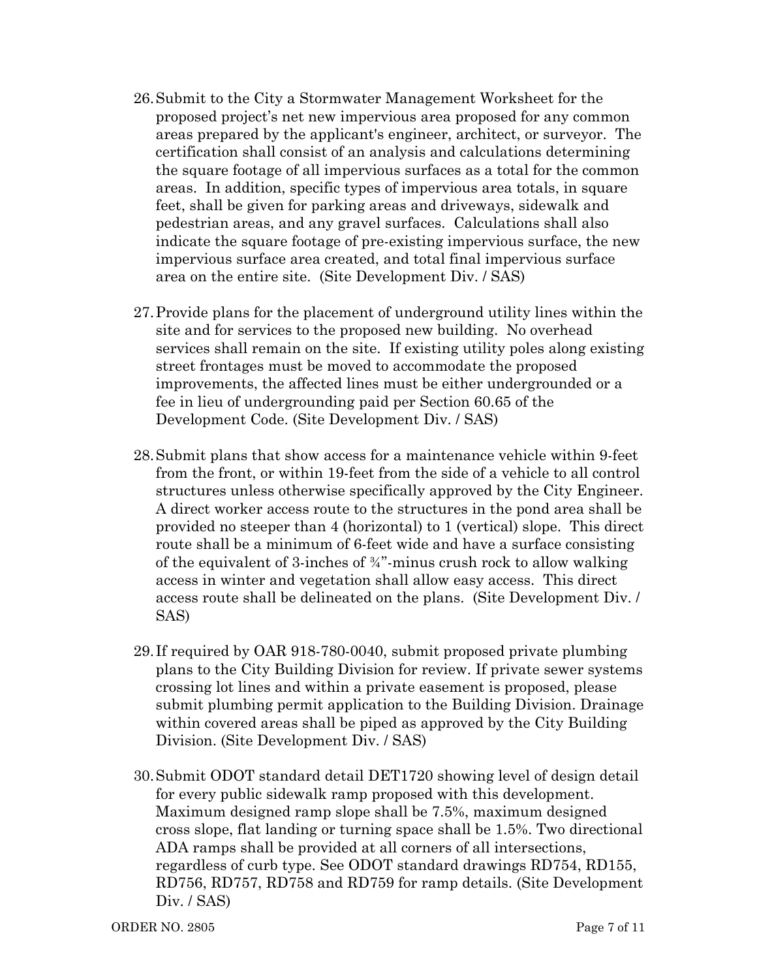- 26.Submit to the City a Stormwater Management Worksheet for the proposed project's net new impervious area proposed for any common areas prepared by the applicant's engineer, architect, or surveyor. The certification shall consist of an analysis and calculations determining the square footage of all impervious surfaces as a total for the common areas. In addition, specific types of impervious area totals, in square feet, shall be given for parking areas and driveways, sidewalk and pedestrian areas, and any gravel surfaces. Calculations shall also indicate the square footage of pre-existing impervious surface, the new impervious surface area created, and total final impervious surface area on the entire site. (Site Development Div. / SAS)
- 27.Provide plans for the placement of underground utility lines within the site and for services to the proposed new building. No overhead services shall remain on the site. If existing utility poles along existing street frontages must be moved to accommodate the proposed improvements, the affected lines must be either undergrounded or a fee in lieu of undergrounding paid per Section 60.65 of the Development Code. (Site Development Div. / SAS)
- 28.Submit plans that show access for a maintenance vehicle within 9-feet from the front, or within 19-feet from the side of a vehicle to all control structures unless otherwise specifically approved by the City Engineer. A direct worker access route to the structures in the pond area shall be provided no steeper than 4 (horizontal) to 1 (vertical) slope. This direct route shall be a minimum of 6-feet wide and have a surface consisting of the equivalent of 3-inches of  $\frac{3}{4}$  minus crush rock to allow walking access in winter and vegetation shall allow easy access. This direct access route shall be delineated on the plans. (Site Development Div. / SAS)
- 29. If required by OAR 918-780-0040, submit proposed private plumbing plans to the City Building Division for review. If private sewer systems crossing lot lines and within a private easement is proposed, please submit plumbing permit application to the Building Division. Drainage within covered areas shall be piped as approved by the City Building Division. (Site Development Div. / SAS)
- 30.Submit ODOT standard detail DET1720 showing level of design detail for every public sidewalk ramp proposed with this development. Maximum designed ramp slope shall be 7.5%, maximum designed cross slope, flat landing or turning space shall be 1.5%. Two directional ADA ramps shall be provided at all corners of all intersections, regardless of curb type. See ODOT standard drawings RD754, RD155, RD756, RD757, RD758 and RD759 for ramp details. (Site Development Div. / SAS)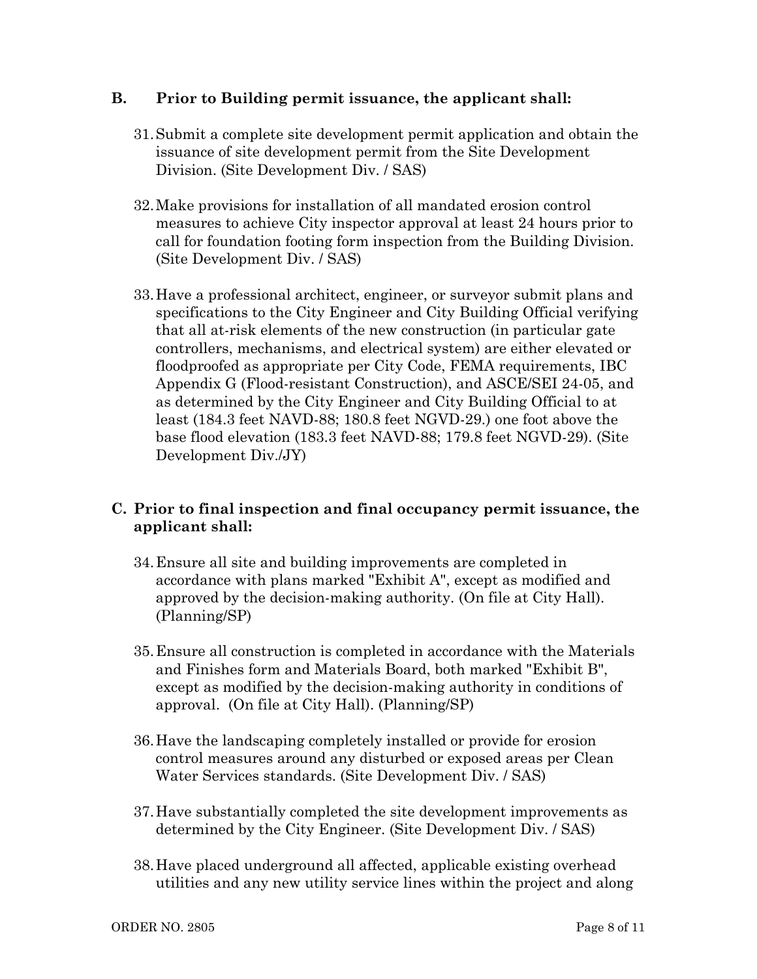### **B. Prior to Building permit issuance, the applicant shall:**

- 31.Submit a complete site development permit application and obtain the issuance of site development permit from the Site Development Division. (Site Development Div. / SAS)
- 32.Make provisions for installation of all mandated erosion control measures to achieve City inspector approval at least 24 hours prior to call for foundation footing form inspection from the Building Division. (Site Development Div. / SAS)
- 33.Have a professional architect, engineer, or surveyor submit plans and specifications to the City Engineer and City Building Official verifying that all at-risk elements of the new construction (in particular gate controllers, mechanisms, and electrical system) are either elevated or floodproofed as appropriate per City Code, FEMA requirements, IBC Appendix G (Flood-resistant Construction), and ASCE/SEI 24-05, and as determined by the City Engineer and City Building Official to at least (184.3 feet NAVD-88; 180.8 feet NGVD-29.) one foot above the base flood elevation (183.3 feet NAVD-88; 179.8 feet NGVD-29). (Site Development Div./JY)

# **C. Prior to final inspection and final occupancy permit issuance, the applicant shall:**

- 34.Ensure all site and building improvements are completed in accordance with plans marked "Exhibit A", except as modified and approved by the decision-making authority. (On file at City Hall). (Planning/SP)
- 35.Ensure all construction is completed in accordance with the Materials and Finishes form and Materials Board, both marked "Exhibit B", except as modified by the decision-making authority in conditions of approval. (On file at City Hall). (Planning/SP)
- 36.Have the landscaping completely installed or provide for erosion control measures around any disturbed or exposed areas per Clean Water Services standards. (Site Development Div. / SAS)
- 37.Have substantially completed the site development improvements as determined by the City Engineer. (Site Development Div. / SAS)
- 38.Have placed underground all affected, applicable existing overhead utilities and any new utility service lines within the project and along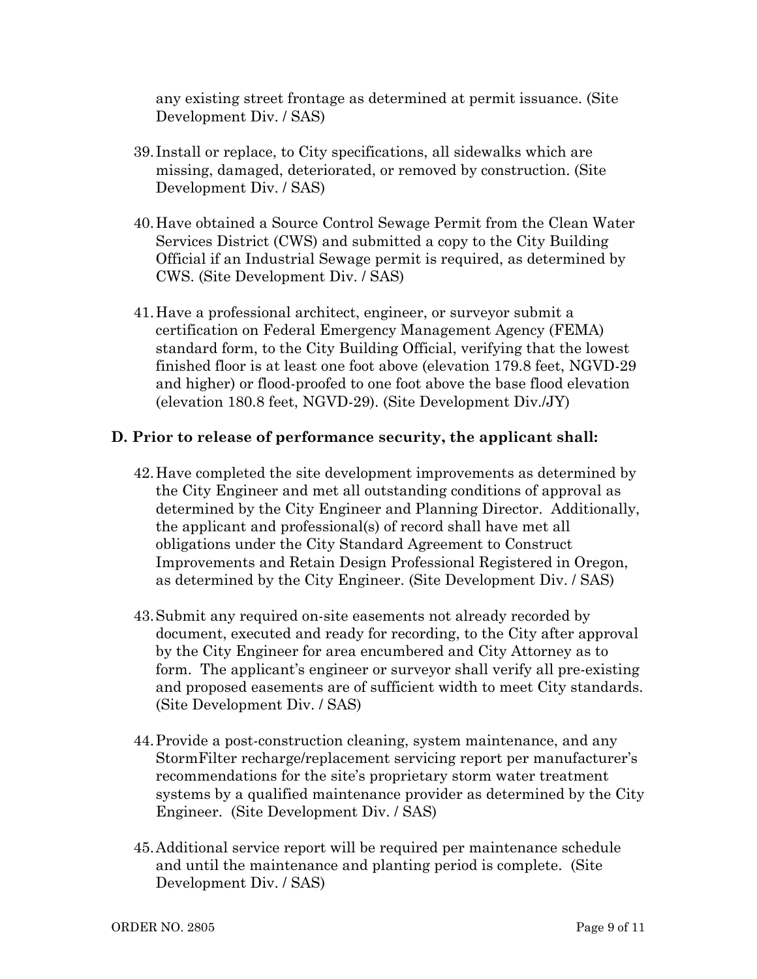any existing street frontage as determined at permit issuance. (Site Development Div. / SAS)

- 39. Install or replace, to City specifications, all sidewalks which are missing, damaged, deteriorated, or removed by construction. (Site Development Div. / SAS)
- 40.Have obtained a Source Control Sewage Permit from the Clean Water Services District (CWS) and submitted a copy to the City Building Official if an Industrial Sewage permit is required, as determined by CWS. (Site Development Div. / SAS)
- 41.Have a professional architect, engineer, or surveyor submit a certification on Federal Emergency Management Agency (FEMA) standard form, to the City Building Official, verifying that the lowest finished floor is at least one foot above (elevation 179.8 feet, NGVD-29 and higher) or flood-proofed to one foot above the base flood elevation (elevation 180.8 feet, NGVD-29). (Site Development Div./JY)

#### **D. Prior to release of performance security, the applicant shall:**

- 42.Have completed the site development improvements as determined by the City Engineer and met all outstanding conditions of approval as determined by the City Engineer and Planning Director. Additionally, the applicant and professional(s) of record shall have met all obligations under the City Standard Agreement to Construct Improvements and Retain Design Professional Registered in Oregon, as determined by the City Engineer. (Site Development Div. / SAS)
- 43.Submit any required on-site easements not already recorded by document, executed and ready for recording, to the City after approval by the City Engineer for area encumbered and City Attorney as to form. The applicant's engineer or surveyor shall verify all pre-existing and proposed easements are of sufficient width to meet City standards. (Site Development Div. / SAS)
- 44.Provide a post-construction cleaning, system maintenance, and any StormFilter recharge/replacement servicing report per manufacturer's recommendations for the site's proprietary storm water treatment systems by a qualified maintenance provider as determined by the City Engineer. (Site Development Div. / SAS)
- 45.Additional service report will be required per maintenance schedule and until the maintenance and planting period is complete. (Site Development Div. / SAS)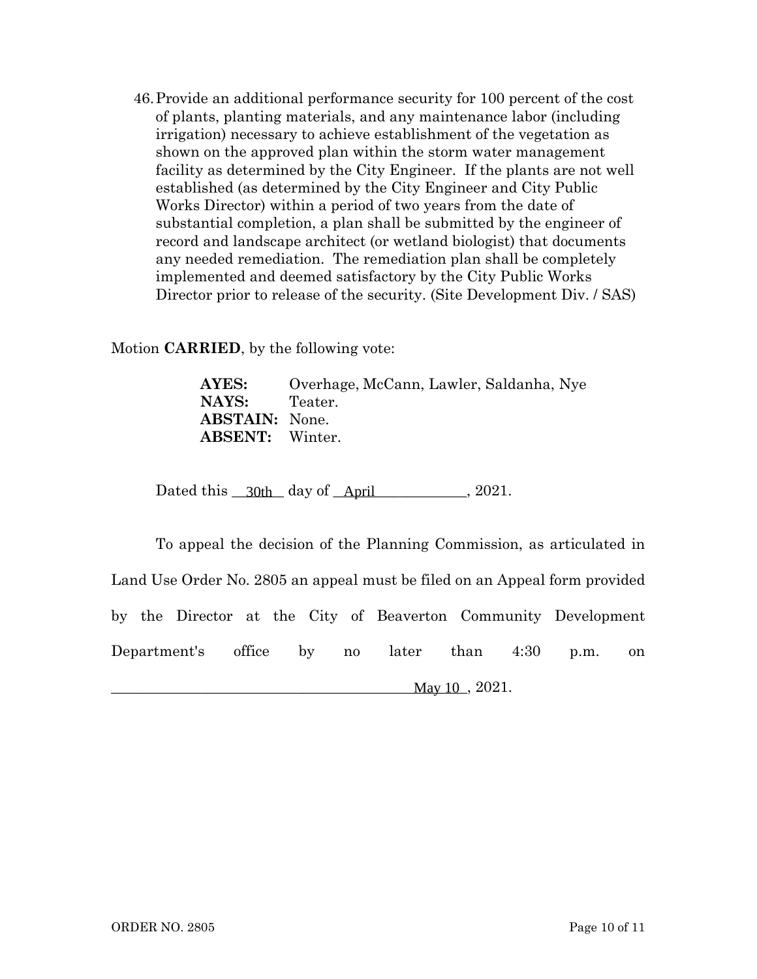46.Provide an additional performance security for 100 percent of the cost of plants, planting materials, and any maintenance labor (including irrigation) necessary to achieve establishment of the vegetation as shown on the approved plan within the storm water management facility as determined by the City Engineer. If the plants are not well established (as determined by the City Engineer and City Public Works Director) within a period of two years from the date of substantial completion, a plan shall be submitted by the engineer of record and landscape architect (or wetland biologist) that documents any needed remediation. The remediation plan shall be completely implemented and deemed satisfactory by the City Public Works Director prior to release of the security. (Site Development Div. / SAS)

Motion **CARRIED**, by the following vote:

**AYES:** Overhage, McCann, Lawler, Saldanha, Nye NAYS: Teater. **ABSTAIN:** None. **ABSENT:** Winter.

Dated this  $\frac{30th}{\text{ day of}}$  day of  $\frac{\text{April}}{\text{April}}$ , 2021.

To appeal the decision of the Planning Commission, as articulated in Land Use Order No. 2805 an appeal must be filed on an Appeal form provided by the Director at the City of Beaverton Community Development Department's office by no later than 4:30 p.m. on  $\text{May } 10$ ,  $2021$ .